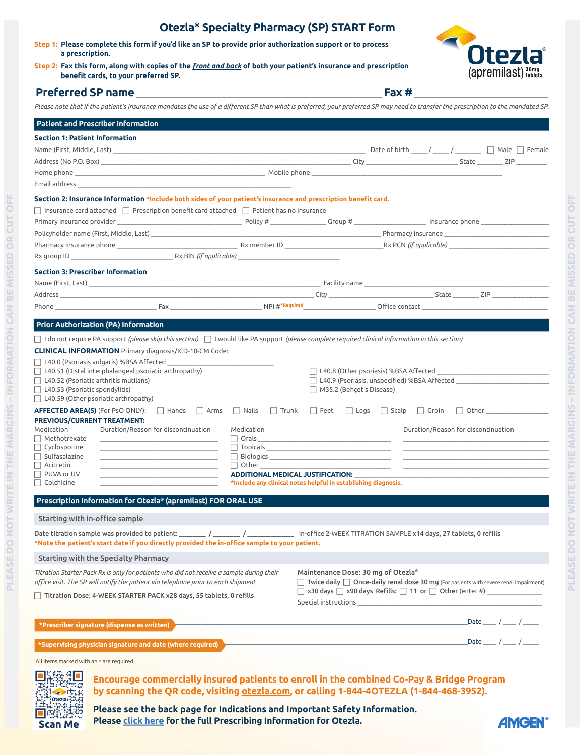| Step 1: Please complete this form if you'd like an SP to provide prior authorization support or to process<br>a prescription.<br>Step 2: Fax this form, along with copies of the <i>front and back</i> of both your patient's insurance and prescription<br>benefit cards, to your preferred SP.<br>$\mathsf{Fax} \#$<br>Please note that if the patient's insurance mandates the use of a different SP than what is preferred, your preferred SP may need to transfer the prescription to the mandated SP.<br><b>Patient and Prescriber Information</b><br><b>Section 1: Patient Information</b><br>Email address and the control of the control of the control of the control of the control of the control of the control of the control of the control of the control of the control of the control of the control of the contr<br>Section 2: Insurance Information *Include both sides of your patient's insurance and prescription benefit card.<br>$\Box$ Insurance card attached $\Box$ Prescription benefit card attached $\Box$ Patient has no insurance<br><b>Section 3: Prescriber Information</b><br><b>Prior Authorization (PA) Information</b><br>$\Box$ I do not require PA support (please skip this section) $\Box$ I would like PA support (please complete required clinical information in this section)<br><b>CLINICAL INFORMATION</b> Primary diagnosis/ICD-10-CM Code:<br>$\Box$ L40.0 (Psoriasis vulgaris) %BSA Affected<br>$\Box$ L40.51 (Distal interphalangeal psoriatic arthropathy)<br>□ L40.9 (Psoriasis, unspecified) %BSA Affected<br>$\Box$ L40.52 (Psoriatic arthritis mutilans)<br>$\Box$ L40.53 (Psoriatic spondylitis)<br>$\Box$ M35.2 (Behçet's Disease)<br>$\Box$ L40.59 (Other psoriatic arthropathy)<br>AFFECTED AREA(S) (For PsO ONLY): □ Hands □ Arms □ Nails □ Trunk □ Feet □ Legs □ Scalp □ Groin □ Other ______________<br>PREVIOUS/CURRENT TREATMENT:<br>Medication<br>Duration/Reason for discontinuation<br>Medication<br>Duration/Reason for discontinuation<br>$\Box$ Methotrexate<br><u> 1989 - Johann Barbara, martin da basar a shekara tsara a shekara tsa a shekara tsara a shekara tsara a shekara</u><br>$\Box$ Cyclosporine<br>$\Box$ Topicals<br><b>Committee</b><br>$\Box$ Sulfasalazine<br>$\Box$ Acitretin<br>$\Box$ Other<br>the control of the control of the control of the control of the control of<br>$\Box$ PUVA or UV<br>ADDITIONAL MEDICAL JUSTIFICATION: ____<br>$\Box$ Colchicine<br>*Include any clinical notes helpful in establishing diagnosis.<br>Prescription Information for Otezla® (apremilast) FOR ORAL USE<br>Starting with in-office sample<br>Date titration sample was provided to patient: ________ / ________ / ____________ In-office 2-WEEK TITRATION SAMPLE x14 days, 27 tablets, 0 refills<br>*Note the patient's start date if you directly provided the in-office sample to your patient.<br>Starting with the Specialty Pharmacy<br>Maintenance Dose: 30 mg of Otezla®<br>Titration Starter Pack Rx is only for patients who did not receive a sample during their |  | Otezia <sup>®</sup> Specialty Pharmacy (SP) START Form |                                                                   |
|----------------------------------------------------------------------------------------------------------------------------------------------------------------------------------------------------------------------------------------------------------------------------------------------------------------------------------------------------------------------------------------------------------------------------------------------------------------------------------------------------------------------------------------------------------------------------------------------------------------------------------------------------------------------------------------------------------------------------------------------------------------------------------------------------------------------------------------------------------------------------------------------------------------------------------------------------------------------------------------------------------------------------------------------------------------------------------------------------------------------------------------------------------------------------------------------------------------------------------------------------------------------------------------------------------------------------------------------------------------------------------------------------------------------------------------------------------------------------------------------------------------------------------------------------------------------------------------------------------------------------------------------------------------------------------------------------------------------------------------------------------------------------------------------------------------------------------------------------------------------------------------------------------------------------------------------------------------------------------------------------------------------------------------------------------------------------------------------------------------------------------------------------------------------------------------------------------------------------------------------------------------------------------------------------------------------------------------------------------------------------------------------------------------------------------------------------------------------------------------------------------------------------------------------------------------------------------------------------------------------------------------------------------------------------------------------------------------------------------------------------------------------------------------------------------------------------------------------------------------------------------------------------------------------------------------------------------------------------------------------------------------------------------------------------------------------|--|--------------------------------------------------------|-------------------------------------------------------------------|
|                                                                                                                                                                                                                                                                                                                                                                                                                                                                                                                                                                                                                                                                                                                                                                                                                                                                                                                                                                                                                                                                                                                                                                                                                                                                                                                                                                                                                                                                                                                                                                                                                                                                                                                                                                                                                                                                                                                                                                                                                                                                                                                                                                                                                                                                                                                                                                                                                                                                                                                                                                                                                                                                                                                                                                                                                                                                                                                                                                                                                                                                      |  |                                                        | <b>Ntezi</b>                                                      |
|                                                                                                                                                                                                                                                                                                                                                                                                                                                                                                                                                                                                                                                                                                                                                                                                                                                                                                                                                                                                                                                                                                                                                                                                                                                                                                                                                                                                                                                                                                                                                                                                                                                                                                                                                                                                                                                                                                                                                                                                                                                                                                                                                                                                                                                                                                                                                                                                                                                                                                                                                                                                                                                                                                                                                                                                                                                                                                                                                                                                                                                                      |  |                                                        | $\left($ apremilast $\right)$ $_{\text{tables}}^{30\text{mg}}$    |
|                                                                                                                                                                                                                                                                                                                                                                                                                                                                                                                                                                                                                                                                                                                                                                                                                                                                                                                                                                                                                                                                                                                                                                                                                                                                                                                                                                                                                                                                                                                                                                                                                                                                                                                                                                                                                                                                                                                                                                                                                                                                                                                                                                                                                                                                                                                                                                                                                                                                                                                                                                                                                                                                                                                                                                                                                                                                                                                                                                                                                                                                      |  |                                                        |                                                                   |
|                                                                                                                                                                                                                                                                                                                                                                                                                                                                                                                                                                                                                                                                                                                                                                                                                                                                                                                                                                                                                                                                                                                                                                                                                                                                                                                                                                                                                                                                                                                                                                                                                                                                                                                                                                                                                                                                                                                                                                                                                                                                                                                                                                                                                                                                                                                                                                                                                                                                                                                                                                                                                                                                                                                                                                                                                                                                                                                                                                                                                                                                      |  |                                                        |                                                                   |
|                                                                                                                                                                                                                                                                                                                                                                                                                                                                                                                                                                                                                                                                                                                                                                                                                                                                                                                                                                                                                                                                                                                                                                                                                                                                                                                                                                                                                                                                                                                                                                                                                                                                                                                                                                                                                                                                                                                                                                                                                                                                                                                                                                                                                                                                                                                                                                                                                                                                                                                                                                                                                                                                                                                                                                                                                                                                                                                                                                                                                                                                      |  |                                                        |                                                                   |
|                                                                                                                                                                                                                                                                                                                                                                                                                                                                                                                                                                                                                                                                                                                                                                                                                                                                                                                                                                                                                                                                                                                                                                                                                                                                                                                                                                                                                                                                                                                                                                                                                                                                                                                                                                                                                                                                                                                                                                                                                                                                                                                                                                                                                                                                                                                                                                                                                                                                                                                                                                                                                                                                                                                                                                                                                                                                                                                                                                                                                                                                      |  |                                                        |                                                                   |
|                                                                                                                                                                                                                                                                                                                                                                                                                                                                                                                                                                                                                                                                                                                                                                                                                                                                                                                                                                                                                                                                                                                                                                                                                                                                                                                                                                                                                                                                                                                                                                                                                                                                                                                                                                                                                                                                                                                                                                                                                                                                                                                                                                                                                                                                                                                                                                                                                                                                                                                                                                                                                                                                                                                                                                                                                                                                                                                                                                                                                                                                      |  |                                                        |                                                                   |
|                                                                                                                                                                                                                                                                                                                                                                                                                                                                                                                                                                                                                                                                                                                                                                                                                                                                                                                                                                                                                                                                                                                                                                                                                                                                                                                                                                                                                                                                                                                                                                                                                                                                                                                                                                                                                                                                                                                                                                                                                                                                                                                                                                                                                                                                                                                                                                                                                                                                                                                                                                                                                                                                                                                                                                                                                                                                                                                                                                                                                                                                      |  |                                                        |                                                                   |
|                                                                                                                                                                                                                                                                                                                                                                                                                                                                                                                                                                                                                                                                                                                                                                                                                                                                                                                                                                                                                                                                                                                                                                                                                                                                                                                                                                                                                                                                                                                                                                                                                                                                                                                                                                                                                                                                                                                                                                                                                                                                                                                                                                                                                                                                                                                                                                                                                                                                                                                                                                                                                                                                                                                                                                                                                                                                                                                                                                                                                                                                      |  |                                                        |                                                                   |
|                                                                                                                                                                                                                                                                                                                                                                                                                                                                                                                                                                                                                                                                                                                                                                                                                                                                                                                                                                                                                                                                                                                                                                                                                                                                                                                                                                                                                                                                                                                                                                                                                                                                                                                                                                                                                                                                                                                                                                                                                                                                                                                                                                                                                                                                                                                                                                                                                                                                                                                                                                                                                                                                                                                                                                                                                                                                                                                                                                                                                                                                      |  |                                                        |                                                                   |
|                                                                                                                                                                                                                                                                                                                                                                                                                                                                                                                                                                                                                                                                                                                                                                                                                                                                                                                                                                                                                                                                                                                                                                                                                                                                                                                                                                                                                                                                                                                                                                                                                                                                                                                                                                                                                                                                                                                                                                                                                                                                                                                                                                                                                                                                                                                                                                                                                                                                                                                                                                                                                                                                                                                                                                                                                                                                                                                                                                                                                                                                      |  |                                                        |                                                                   |
|                                                                                                                                                                                                                                                                                                                                                                                                                                                                                                                                                                                                                                                                                                                                                                                                                                                                                                                                                                                                                                                                                                                                                                                                                                                                                                                                                                                                                                                                                                                                                                                                                                                                                                                                                                                                                                                                                                                                                                                                                                                                                                                                                                                                                                                                                                                                                                                                                                                                                                                                                                                                                                                                                                                                                                                                                                                                                                                                                                                                                                                                      |  |                                                        |                                                                   |
|                                                                                                                                                                                                                                                                                                                                                                                                                                                                                                                                                                                                                                                                                                                                                                                                                                                                                                                                                                                                                                                                                                                                                                                                                                                                                                                                                                                                                                                                                                                                                                                                                                                                                                                                                                                                                                                                                                                                                                                                                                                                                                                                                                                                                                                                                                                                                                                                                                                                                                                                                                                                                                                                                                                                                                                                                                                                                                                                                                                                                                                                      |  |                                                        |                                                                   |
|                                                                                                                                                                                                                                                                                                                                                                                                                                                                                                                                                                                                                                                                                                                                                                                                                                                                                                                                                                                                                                                                                                                                                                                                                                                                                                                                                                                                                                                                                                                                                                                                                                                                                                                                                                                                                                                                                                                                                                                                                                                                                                                                                                                                                                                                                                                                                                                                                                                                                                                                                                                                                                                                                                                                                                                                                                                                                                                                                                                                                                                                      |  |                                                        |                                                                   |
|                                                                                                                                                                                                                                                                                                                                                                                                                                                                                                                                                                                                                                                                                                                                                                                                                                                                                                                                                                                                                                                                                                                                                                                                                                                                                                                                                                                                                                                                                                                                                                                                                                                                                                                                                                                                                                                                                                                                                                                                                                                                                                                                                                                                                                                                                                                                                                                                                                                                                                                                                                                                                                                                                                                                                                                                                                                                                                                                                                                                                                                                      |  |                                                        |                                                                   |
|                                                                                                                                                                                                                                                                                                                                                                                                                                                                                                                                                                                                                                                                                                                                                                                                                                                                                                                                                                                                                                                                                                                                                                                                                                                                                                                                                                                                                                                                                                                                                                                                                                                                                                                                                                                                                                                                                                                                                                                                                                                                                                                                                                                                                                                                                                                                                                                                                                                                                                                                                                                                                                                                                                                                                                                                                                                                                                                                                                                                                                                                      |  |                                                        |                                                                   |
|                                                                                                                                                                                                                                                                                                                                                                                                                                                                                                                                                                                                                                                                                                                                                                                                                                                                                                                                                                                                                                                                                                                                                                                                                                                                                                                                                                                                                                                                                                                                                                                                                                                                                                                                                                                                                                                                                                                                                                                                                                                                                                                                                                                                                                                                                                                                                                                                                                                                                                                                                                                                                                                                                                                                                                                                                                                                                                                                                                                                                                                                      |  |                                                        |                                                                   |
|                                                                                                                                                                                                                                                                                                                                                                                                                                                                                                                                                                                                                                                                                                                                                                                                                                                                                                                                                                                                                                                                                                                                                                                                                                                                                                                                                                                                                                                                                                                                                                                                                                                                                                                                                                                                                                                                                                                                                                                                                                                                                                                                                                                                                                                                                                                                                                                                                                                                                                                                                                                                                                                                                                                                                                                                                                                                                                                                                                                                                                                                      |  |                                                        |                                                                   |
|                                                                                                                                                                                                                                                                                                                                                                                                                                                                                                                                                                                                                                                                                                                                                                                                                                                                                                                                                                                                                                                                                                                                                                                                                                                                                                                                                                                                                                                                                                                                                                                                                                                                                                                                                                                                                                                                                                                                                                                                                                                                                                                                                                                                                                                                                                                                                                                                                                                                                                                                                                                                                                                                                                                                                                                                                                                                                                                                                                                                                                                                      |  |                                                        |                                                                   |
|                                                                                                                                                                                                                                                                                                                                                                                                                                                                                                                                                                                                                                                                                                                                                                                                                                                                                                                                                                                                                                                                                                                                                                                                                                                                                                                                                                                                                                                                                                                                                                                                                                                                                                                                                                                                                                                                                                                                                                                                                                                                                                                                                                                                                                                                                                                                                                                                                                                                                                                                                                                                                                                                                                                                                                                                                                                                                                                                                                                                                                                                      |  |                                                        |                                                                   |
|                                                                                                                                                                                                                                                                                                                                                                                                                                                                                                                                                                                                                                                                                                                                                                                                                                                                                                                                                                                                                                                                                                                                                                                                                                                                                                                                                                                                                                                                                                                                                                                                                                                                                                                                                                                                                                                                                                                                                                                                                                                                                                                                                                                                                                                                                                                                                                                                                                                                                                                                                                                                                                                                                                                                                                                                                                                                                                                                                                                                                                                                      |  |                                                        |                                                                   |
|                                                                                                                                                                                                                                                                                                                                                                                                                                                                                                                                                                                                                                                                                                                                                                                                                                                                                                                                                                                                                                                                                                                                                                                                                                                                                                                                                                                                                                                                                                                                                                                                                                                                                                                                                                                                                                                                                                                                                                                                                                                                                                                                                                                                                                                                                                                                                                                                                                                                                                                                                                                                                                                                                                                                                                                                                                                                                                                                                                                                                                                                      |  |                                                        |                                                                   |
|                                                                                                                                                                                                                                                                                                                                                                                                                                                                                                                                                                                                                                                                                                                                                                                                                                                                                                                                                                                                                                                                                                                                                                                                                                                                                                                                                                                                                                                                                                                                                                                                                                                                                                                                                                                                                                                                                                                                                                                                                                                                                                                                                                                                                                                                                                                                                                                                                                                                                                                                                                                                                                                                                                                                                                                                                                                                                                                                                                                                                                                                      |  |                                                        |                                                                   |
|                                                                                                                                                                                                                                                                                                                                                                                                                                                                                                                                                                                                                                                                                                                                                                                                                                                                                                                                                                                                                                                                                                                                                                                                                                                                                                                                                                                                                                                                                                                                                                                                                                                                                                                                                                                                                                                                                                                                                                                                                                                                                                                                                                                                                                                                                                                                                                                                                                                                                                                                                                                                                                                                                                                                                                                                                                                                                                                                                                                                                                                                      |  |                                                        |                                                                   |
|                                                                                                                                                                                                                                                                                                                                                                                                                                                                                                                                                                                                                                                                                                                                                                                                                                                                                                                                                                                                                                                                                                                                                                                                                                                                                                                                                                                                                                                                                                                                                                                                                                                                                                                                                                                                                                                                                                                                                                                                                                                                                                                                                                                                                                                                                                                                                                                                                                                                                                                                                                                                                                                                                                                                                                                                                                                                                                                                                                                                                                                                      |  |                                                        |                                                                   |
|                                                                                                                                                                                                                                                                                                                                                                                                                                                                                                                                                                                                                                                                                                                                                                                                                                                                                                                                                                                                                                                                                                                                                                                                                                                                                                                                                                                                                                                                                                                                                                                                                                                                                                                                                                                                                                                                                                                                                                                                                                                                                                                                                                                                                                                                                                                                                                                                                                                                                                                                                                                                                                                                                                                                                                                                                                                                                                                                                                                                                                                                      |  |                                                        |                                                                   |
|                                                                                                                                                                                                                                                                                                                                                                                                                                                                                                                                                                                                                                                                                                                                                                                                                                                                                                                                                                                                                                                                                                                                                                                                                                                                                                                                                                                                                                                                                                                                                                                                                                                                                                                                                                                                                                                                                                                                                                                                                                                                                                                                                                                                                                                                                                                                                                                                                                                                                                                                                                                                                                                                                                                                                                                                                                                                                                                                                                                                                                                                      |  |                                                        |                                                                   |
|                                                                                                                                                                                                                                                                                                                                                                                                                                                                                                                                                                                                                                                                                                                                                                                                                                                                                                                                                                                                                                                                                                                                                                                                                                                                                                                                                                                                                                                                                                                                                                                                                                                                                                                                                                                                                                                                                                                                                                                                                                                                                                                                                                                                                                                                                                                                                                                                                                                                                                                                                                                                                                                                                                                                                                                                                                                                                                                                                                                                                                                                      |  |                                                        |                                                                   |
|                                                                                                                                                                                                                                                                                                                                                                                                                                                                                                                                                                                                                                                                                                                                                                                                                                                                                                                                                                                                                                                                                                                                                                                                                                                                                                                                                                                                                                                                                                                                                                                                                                                                                                                                                                                                                                                                                                                                                                                                                                                                                                                                                                                                                                                                                                                                                                                                                                                                                                                                                                                                                                                                                                                                                                                                                                                                                                                                                                                                                                                                      |  |                                                        |                                                                   |
|                                                                                                                                                                                                                                                                                                                                                                                                                                                                                                                                                                                                                                                                                                                                                                                                                                                                                                                                                                                                                                                                                                                                                                                                                                                                                                                                                                                                                                                                                                                                                                                                                                                                                                                                                                                                                                                                                                                                                                                                                                                                                                                                                                                                                                                                                                                                                                                                                                                                                                                                                                                                                                                                                                                                                                                                                                                                                                                                                                                                                                                                      |  |                                                        |                                                                   |
|                                                                                                                                                                                                                                                                                                                                                                                                                                                                                                                                                                                                                                                                                                                                                                                                                                                                                                                                                                                                                                                                                                                                                                                                                                                                                                                                                                                                                                                                                                                                                                                                                                                                                                                                                                                                                                                                                                                                                                                                                                                                                                                                                                                                                                                                                                                                                                                                                                                                                                                                                                                                                                                                                                                                                                                                                                                                                                                                                                                                                                                                      |  |                                                        |                                                                   |
|                                                                                                                                                                                                                                                                                                                                                                                                                                                                                                                                                                                                                                                                                                                                                                                                                                                                                                                                                                                                                                                                                                                                                                                                                                                                                                                                                                                                                                                                                                                                                                                                                                                                                                                                                                                                                                                                                                                                                                                                                                                                                                                                                                                                                                                                                                                                                                                                                                                                                                                                                                                                                                                                                                                                                                                                                                                                                                                                                                                                                                                                      |  |                                                        |                                                                   |
|                                                                                                                                                                                                                                                                                                                                                                                                                                                                                                                                                                                                                                                                                                                                                                                                                                                                                                                                                                                                                                                                                                                                                                                                                                                                                                                                                                                                                                                                                                                                                                                                                                                                                                                                                                                                                                                                                                                                                                                                                                                                                                                                                                                                                                                                                                                                                                                                                                                                                                                                                                                                                                                                                                                                                                                                                                                                                                                                                                                                                                                                      |  |                                                        |                                                                   |
|                                                                                                                                                                                                                                                                                                                                                                                                                                                                                                                                                                                                                                                                                                                                                                                                                                                                                                                                                                                                                                                                                                                                                                                                                                                                                                                                                                                                                                                                                                                                                                                                                                                                                                                                                                                                                                                                                                                                                                                                                                                                                                                                                                                                                                                                                                                                                                                                                                                                                                                                                                                                                                                                                                                                                                                                                                                                                                                                                                                                                                                                      |  |                                                        |                                                                   |
|                                                                                                                                                                                                                                                                                                                                                                                                                                                                                                                                                                                                                                                                                                                                                                                                                                                                                                                                                                                                                                                                                                                                                                                                                                                                                                                                                                                                                                                                                                                                                                                                                                                                                                                                                                                                                                                                                                                                                                                                                                                                                                                                                                                                                                                                                                                                                                                                                                                                                                                                                                                                                                                                                                                                                                                                                                                                                                                                                                                                                                                                      |  |                                                        |                                                                   |
|                                                                                                                                                                                                                                                                                                                                                                                                                                                                                                                                                                                                                                                                                                                                                                                                                                                                                                                                                                                                                                                                                                                                                                                                                                                                                                                                                                                                                                                                                                                                                                                                                                                                                                                                                                                                                                                                                                                                                                                                                                                                                                                                                                                                                                                                                                                                                                                                                                                                                                                                                                                                                                                                                                                                                                                                                                                                                                                                                                                                                                                                      |  |                                                        |                                                                   |
|                                                                                                                                                                                                                                                                                                                                                                                                                                                                                                                                                                                                                                                                                                                                                                                                                                                                                                                                                                                                                                                                                                                                                                                                                                                                                                                                                                                                                                                                                                                                                                                                                                                                                                                                                                                                                                                                                                                                                                                                                                                                                                                                                                                                                                                                                                                                                                                                                                                                                                                                                                                                                                                                                                                                                                                                                                                                                                                                                                                                                                                                      |  |                                                        |                                                                   |
|                                                                                                                                                                                                                                                                                                                                                                                                                                                                                                                                                                                                                                                                                                                                                                                                                                                                                                                                                                                                                                                                                                                                                                                                                                                                                                                                                                                                                                                                                                                                                                                                                                                                                                                                                                                                                                                                                                                                                                                                                                                                                                                                                                                                                                                                                                                                                                                                                                                                                                                                                                                                                                                                                                                                                                                                                                                                                                                                                                                                                                                                      |  |                                                        |                                                                   |
|                                                                                                                                                                                                                                                                                                                                                                                                                                                                                                                                                                                                                                                                                                                                                                                                                                                                                                                                                                                                                                                                                                                                                                                                                                                                                                                                                                                                                                                                                                                                                                                                                                                                                                                                                                                                                                                                                                                                                                                                                                                                                                                                                                                                                                                                                                                                                                                                                                                                                                                                                                                                                                                                                                                                                                                                                                                                                                                                                                                                                                                                      |  |                                                        |                                                                   |
|                                                                                                                                                                                                                                                                                                                                                                                                                                                                                                                                                                                                                                                                                                                                                                                                                                                                                                                                                                                                                                                                                                                                                                                                                                                                                                                                                                                                                                                                                                                                                                                                                                                                                                                                                                                                                                                                                                                                                                                                                                                                                                                                                                                                                                                                                                                                                                                                                                                                                                                                                                                                                                                                                                                                                                                                                                                                                                                                                                                                                                                                      |  |                                                        |                                                                   |
|                                                                                                                                                                                                                                                                                                                                                                                                                                                                                                                                                                                                                                                                                                                                                                                                                                                                                                                                                                                                                                                                                                                                                                                                                                                                                                                                                                                                                                                                                                                                                                                                                                                                                                                                                                                                                                                                                                                                                                                                                                                                                                                                                                                                                                                                                                                                                                                                                                                                                                                                                                                                                                                                                                                                                                                                                                                                                                                                                                                                                                                                      |  |                                                        |                                                                   |
| office visit. The SP will notify the patient via telephone prior to each shipment<br>$\Box$ Twice daily $\Box$ Once-daily renal dose 30 mg (For patients with severe renal impairment)                                                                                                                                                                                                                                                                                                                                                                                                                                                                                                                                                                                                                                                                                                                                                                                                                                                                                                                                                                                                                                                                                                                                                                                                                                                                                                                                                                                                                                                                                                                                                                                                                                                                                                                                                                                                                                                                                                                                                                                                                                                                                                                                                                                                                                                                                                                                                                                                                                                                                                                                                                                                                                                                                                                                                                                                                                                                               |  |                                                        |                                                                   |
| $\Box$ x30 days $\Box$ x90 days Refills: $\Box$ 11 or $\Box$ Other (enter #)<br>$\Box$ Titration Dose: 4-WEEK STARTER PACK x28 days, 55 tablets, 0 refills                                                                                                                                                                                                                                                                                                                                                                                                                                                                                                                                                                                                                                                                                                                                                                                                                                                                                                                                                                                                                                                                                                                                                                                                                                                                                                                                                                                                                                                                                                                                                                                                                                                                                                                                                                                                                                                                                                                                                                                                                                                                                                                                                                                                                                                                                                                                                                                                                                                                                                                                                                                                                                                                                                                                                                                                                                                                                                           |  |                                                        |                                                                   |
| <u> 1989 - Johann Stoff, deutscher Stoff, der Stoff, der Stoff, der Stoff, der Stoff, der Stoff, der Stoff, der S</u><br>*Prescriber signature (dispense as written)                                                                                                                                                                                                                                                                                                                                                                                                                                                                                                                                                                                                                                                                                                                                                                                                                                                                                                                                                                                                                                                                                                                                                                                                                                                                                                                                                                                                                                                                                                                                                                                                                                                                                                                                                                                                                                                                                                                                                                                                                                                                                                                                                                                                                                                                                                                                                                                                                                                                                                                                                                                                                                                                                                                                                                                                                                                                                                 |  |                                                        | Date $\_\_\_\_\_\_\_\_\_\_\_\_\_\_\_\_\_\_\_\_\_\_\_\_\_\_\_\_\_$ |
| *Supervising physician signature and date (where required) *                                                                                                                                                                                                                                                                                                                                                                                                                                                                                                                                                                                                                                                                                                                                                                                                                                                                                                                                                                                                                                                                                                                                                                                                                                                                                                                                                                                                                                                                                                                                                                                                                                                                                                                                                                                                                                                                                                                                                                                                                                                                                                                                                                                                                                                                                                                                                                                                                                                                                                                                                                                                                                                                                                                                                                                                                                                                                                                                                                                                         |  |                                                        |                                                                   |
|                                                                                                                                                                                                                                                                                                                                                                                                                                                                                                                                                                                                                                                                                                                                                                                                                                                                                                                                                                                                                                                                                                                                                                                                                                                                                                                                                                                                                                                                                                                                                                                                                                                                                                                                                                                                                                                                                                                                                                                                                                                                                                                                                                                                                                                                                                                                                                                                                                                                                                                                                                                                                                                                                                                                                                                                                                                                                                                                                                                                                                                                      |  |                                                        |                                                                   |
| All items marked with an * are required.                                                                                                                                                                                                                                                                                                                                                                                                                                                                                                                                                                                                                                                                                                                                                                                                                                                                                                                                                                                                                                                                                                                                                                                                                                                                                                                                                                                                                                                                                                                                                                                                                                                                                                                                                                                                                                                                                                                                                                                                                                                                                                                                                                                                                                                                                                                                                                                                                                                                                                                                                                                                                                                                                                                                                                                                                                                                                                                                                                                                                             |  |                                                        |                                                                   |
| Encourage commercially insured patients to enroll in the combined Co-Pay & Bridge Program<br>by scanning the QR code, visiting otezla.com, or calling 1-844-4OTEZLA (1-844-468-3952).<br>Oteziar <sup>e</sup>                                                                                                                                                                                                                                                                                                                                                                                                                                                                                                                                                                                                                                                                                                                                                                                                                                                                                                                                                                                                                                                                                                                                                                                                                                                                                                                                                                                                                                                                                                                                                                                                                                                                                                                                                                                                                                                                                                                                                                                                                                                                                                                                                                                                                                                                                                                                                                                                                                                                                                                                                                                                                                                                                                                                                                                                                                                        |  |                                                        |                                                                   |

 **Otezla® Specialty Pharmacy (SP) START Form**

ÿ.

]##

**Scan Me** 

**Please see the back page for Indications and Important Safety Information. Please [click here](https://www.pi.amgen.com/~/media/amgen/repositorysites/pi-amgen-com/otezla/otezla_pi_english.ashx) for the full Prescribing Information for Otezla.**



**PLEASE DO NOT WRITE IN THE MARGINS – INFORMATION CAN BE MISSED OR CUT OFF**

PLEASE DO NOT WRITE IN THE MARGINS - INFORMATION CAN BE MISSED OR CUT OFF